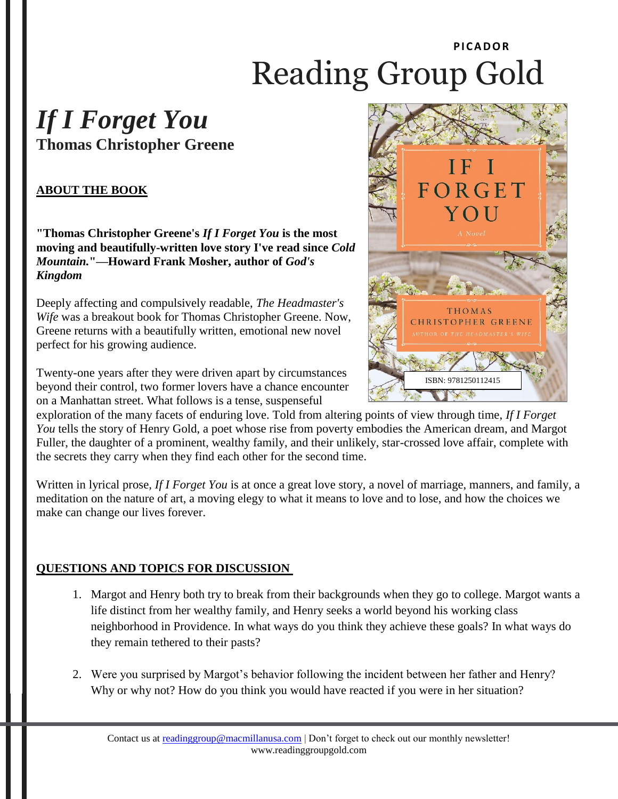# **PI CADOR** Reading Group Gold

## *If I Forget You* **Thomas Christopher Greene**

### **ABOUT THE BOOK**

**"Thomas Christopher Greene's** *If I Forget You* **is the most moving and beautifully-written love story I've read since** *Cold Mountain.***"—Howard Frank Mosher, author of** *God's Kingdom*

Deeply affecting and compulsively readable, *The Headmaster's Wife* was a breakout book for Thomas Christopher Greene. Now, Greene returns with a beautifully written, emotional new novel perfect for his growing audience.

Twenty-one years after they were driven apart by circumstances beyond their control, two former lovers have a chance encounter on a Manhattan street. What follows is a tense, suspenseful



exploration of the many facets of enduring love. Told from altering points of view through time, *If I Forget You* tells the story of Henry Gold, a poet whose rise from poverty embodies the American dream, and Margot Fuller, the daughter of a prominent, wealthy family, and their unlikely, star-crossed love affair, complete with the secrets they carry when they find each other for the second time.

Written in lyrical prose*, If I Forget You* is at once a great love story, a novel of marriage, manners, and family, a meditation on the nature of art, a moving elegy to what it means to love and to lose, and how the choices we make can change our lives forever.

#### **QUESTIONS AND TOPICS FOR DISCUSSION**

- 1. Margot and Henry both try to break from their backgrounds when they go to college. Margot wants a life distinct from her wealthy family, and Henry seeks a world beyond his working class neighborhood in Providence. In what ways do you think they achieve these goals? In what ways do they remain tethered to their pasts?
- 2. Were you surprised by Margot's behavior following the incident between her father and Henry? Why or why not? How do you think you would have reacted if you were in her situation?